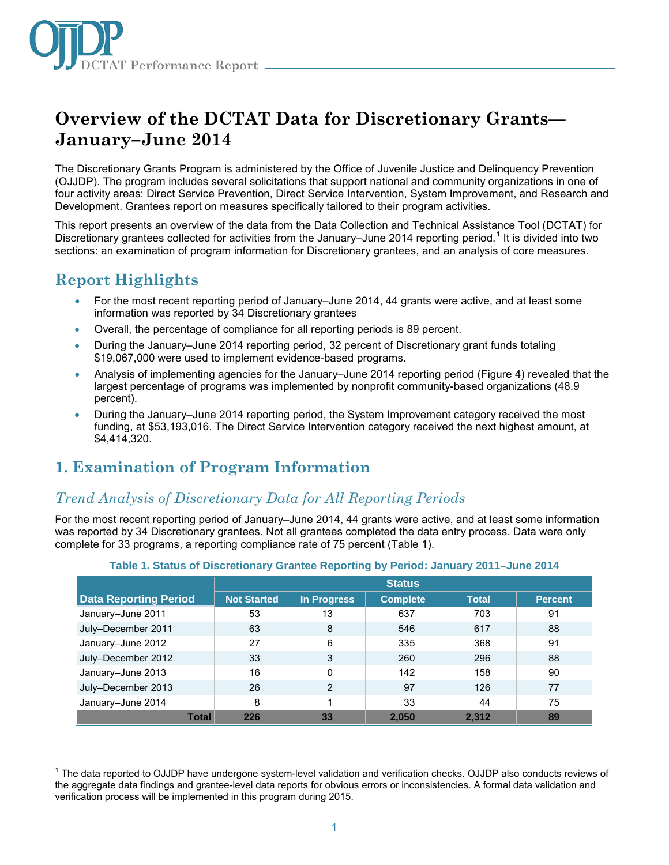

# **Overview of the DCTAT Data for Discretionary Grants— January–June 2014**

The Discretionary Grants Program is administered by the Office of Juvenile Justice and Delinquency Prevention (OJJDP). The program includes several solicitations that support national and community organizations in one of four activity areas: Direct Service Prevention, Direct Service Intervention, System Improvement, and Research and Development. Grantees report on measures specifically tailored to their program activities.

This report presents an overview of the data from the Data Collection and Technical Assistance Tool (DCTAT) for Discretionary grantees collected for activities from the January–June 20[1](#page-0-0)4 reporting period.<sup>1</sup> It is divided into two sections: an examination of program information for Discretionary grantees, and an analysis of core measures.

## **Report Highlights**

- For the most recent reporting period of January–June 2014, 44 grants were active, and at least some information was reported by 34 Discretionary grantees
- Overall, the percentage of compliance for all reporting periods is 89 percent.
- During the January–June 2014 reporting period, 32 percent of Discretionary grant funds totaling \$19,067,000 were used to implement evidence-based programs.
- Analysis of implementing agencies for the January–June 2014 reporting period (Figure 4) revealed that the largest percentage of programs was implemented by nonprofit community-based organizations (48.9 percent).
- During the January–June 2014 reporting period, the System Improvement category received the most funding, at \$53,193,016. The Direct Service Intervention category received the next highest amount, at \$4,414,320.

## **1. Examination of Program Information**

### *Trend Analysis of Discretionary Data for All Reporting Periods*

For the most recent reporting period of January–June 2014, 44 grants were active, and at least some information was reported by 34 Discretionary grantees. Not all grantees completed the data entry process. Data were only complete for 33 programs, a reporting compliance rate of 75 percent (Table 1).

|                              | <b>Status</b>      |                |                 |              |                |
|------------------------------|--------------------|----------------|-----------------|--------------|----------------|
| <b>Data Reporting Period</b> | <b>Not Started</b> | In Progress    | <b>Complete</b> | <b>Total</b> | <b>Percent</b> |
| January-June 2011            | 53                 | 13             | 637             | 703          | 91             |
| July-December 2011           | 63                 | 8              | 546             | 617          | 88             |
| January-June 2012            | 27                 | 6              | 335             | 368          | 91             |
| July-December 2012           | 33                 | 3              | 260             | 296          | 88             |
| January-June 2013            | 16                 | 0              | 142             | 158          | 90             |
| July-December 2013           | 26                 | $\overline{2}$ | 97              | 126          | 77             |
| January-June 2014            | 8                  |                | 33              | 44           | 75             |
| Total                        | 226                | 33             | 2,050           | 2,312        | 89             |

#### **Table 1. Status of Discretionary Grantee Reporting by Period: January 2011–June 2014**

<span id="page-0-0"></span> $\overline{\phantom{a}}$  $1$  The data reported to OJJDP have undergone system-level validation and verification checks. OJJDP also conducts reviews of the aggregate data findings and grantee-level data reports for obvious errors or inconsistencies. A formal data validation and verification process will be implemented in this program during 2015.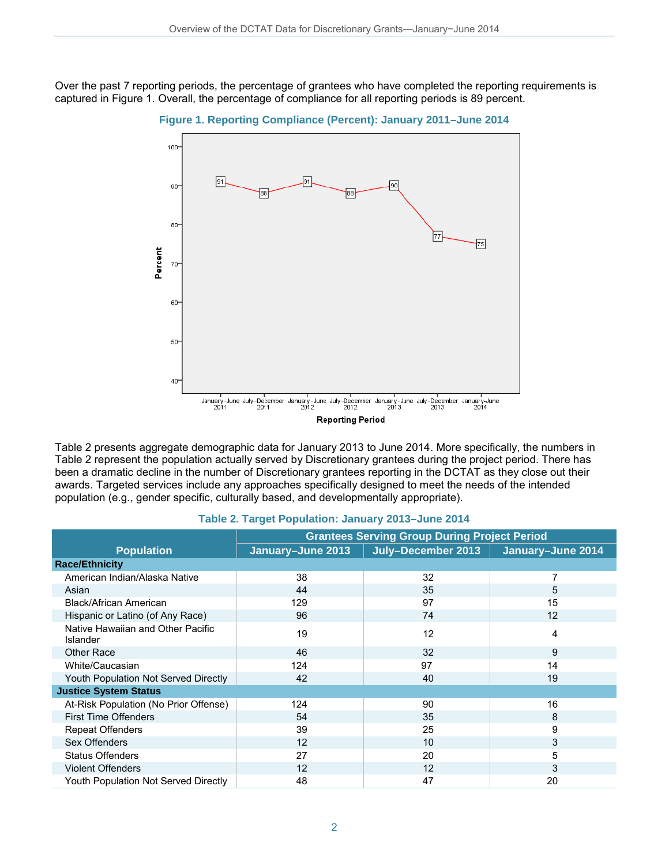Over the past 7 reporting periods, the percentage of grantees who have completed the reporting requirements is captured in Figure 1. Overall, the percentage of compliance for all reporting periods is 89 percent.





Table 2 presents aggregate demographic data for January 2013 to June 2014. More specifically, the numbers in Table 2 represent the population actually served by Discretionary grantees during the project period. There has been a dramatic decline in the number of Discretionary grantees reporting in the DCTAT as they close out their awards. Targeted services include any approaches specifically designed to meet the needs of the intended population (e.g., gender specific, culturally based, and developmentally appropriate).

|                                                      | <b>Grantees Serving Group During Project Period</b> |                    |                   |  |
|------------------------------------------------------|-----------------------------------------------------|--------------------|-------------------|--|
| <b>Population</b>                                    | January-June 2013                                   | July-December 2013 | January-June 2014 |  |
| <b>Race/Ethnicity</b>                                |                                                     |                    |                   |  |
| American Indian/Alaska Native                        | 38                                                  | 32                 | 7                 |  |
| Asian                                                | 44                                                  | 35                 | 5                 |  |
| Black/African American                               | 129                                                 | 97                 | 15                |  |
| Hispanic or Latino (of Any Race)                     | 96                                                  | 74                 | 12                |  |
| Native Hawaiian and Other Pacific<br><b>Islander</b> | 19                                                  | 12                 | 4                 |  |
| <b>Other Race</b>                                    | 46                                                  | 32                 | 9                 |  |
| White/Caucasian                                      | 124                                                 | 97                 | 14                |  |
| Youth Population Not Served Directly                 | 42                                                  | 40                 | 19                |  |
| <b>Justice System Status</b>                         |                                                     |                    |                   |  |
| At-Risk Population (No Prior Offense)                | 124                                                 | 90                 | 16                |  |
| <b>First Time Offenders</b>                          | 54                                                  | 35                 | 8                 |  |
| Repeat Offenders                                     | 39                                                  | 25                 | 9                 |  |
| Sex Offenders                                        | 12                                                  | 10                 | 3                 |  |
| <b>Status Offenders</b>                              | 27                                                  | 20                 | 5                 |  |
| <b>Violent Offenders</b>                             | 12                                                  | 12                 | 3                 |  |
| Youth Population Not Served Directly                 | 48                                                  | 47                 | 20                |  |

#### **Table 2. Target Population: January 2013–June 2014**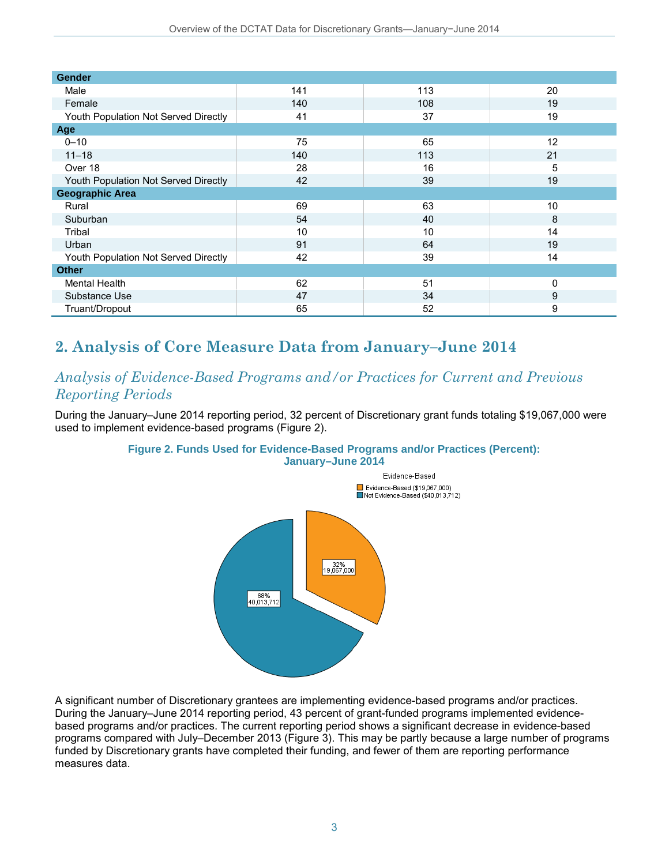| <b>Gender</b>                        |     |     |    |
|--------------------------------------|-----|-----|----|
| Male                                 | 141 | 113 | 20 |
| Female                               | 140 | 108 | 19 |
| Youth Population Not Served Directly | 41  | 37  | 19 |
| Age                                  |     |     |    |
| $0 - 10$                             | 75  | 65  | 12 |
| $11 - 18$                            | 140 | 113 | 21 |
| Over 18                              | 28  | 16  | 5  |
| Youth Population Not Served Directly | 42  | 39  | 19 |
| <b>Geographic Area</b>               |     |     |    |
| Rural                                | 69  | 63  | 10 |
| Suburban                             | 54  | 40  | 8  |
| Tribal                               | 10  | 10  | 14 |
| Urban                                | 91  | 64  | 19 |
| Youth Population Not Served Directly | 42  | 39  | 14 |
| <b>Other</b>                         |     |     |    |
| <b>Mental Health</b>                 | 62  | 51  | 0  |
| Substance Use                        | 47  | 34  | 9  |
| Truant/Dropout                       | 65  | 52  | 9  |

## **2. Analysis of Core Measure Data from January–June 2014**

### *Analysis of Evidence-Based Programs and/or Practices for Current and Previous Reporting Periods*

During the January–June 2014 reporting period, 32 percent of Discretionary grant funds totaling \$19,067,000 were used to implement evidence-based programs (Figure 2).

### **Figure 2. Funds Used for Evidence-Based Programs and/or Practices (Percent):**



A significant number of Discretionary grantees are implementing evidence-based programs and/or practices. During the January–June 2014 reporting period, 43 percent of grant-funded programs implemented evidencebased programs and/or practices. The current reporting period shows a significant decrease in evidence-based programs compared with July–December 2013 (Figure 3). This may be partly because a large number of programs funded by Discretionary grants have completed their funding, and fewer of them are reporting performance measures data.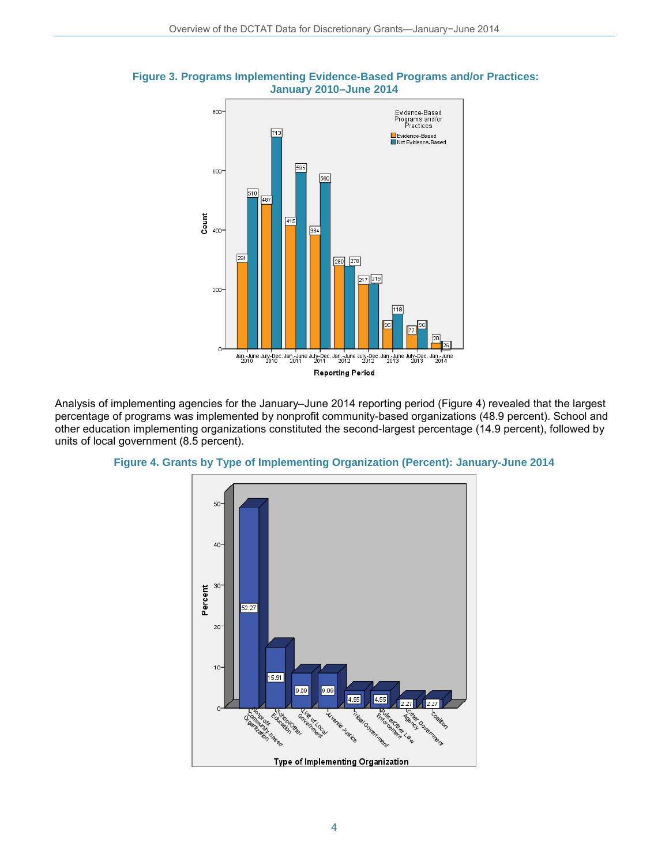

**Figure 3. Programs Implementing Evidence-Based Programs and/or Practices: January 2010–June 2014** 

Analysis of implementing agencies for the January–June 2014 reporting period (Figure 4) revealed that the largest percentage of programs was implemented by nonprofit community-based organizations (48.9 percent). School and other education implementing organizations constituted the second-largest percentage (14.9 percent), followed by units of local government (8.5 percent).



#### **Figure 4. Grants by Type of Implementing Organization (Percent): January-June 2014**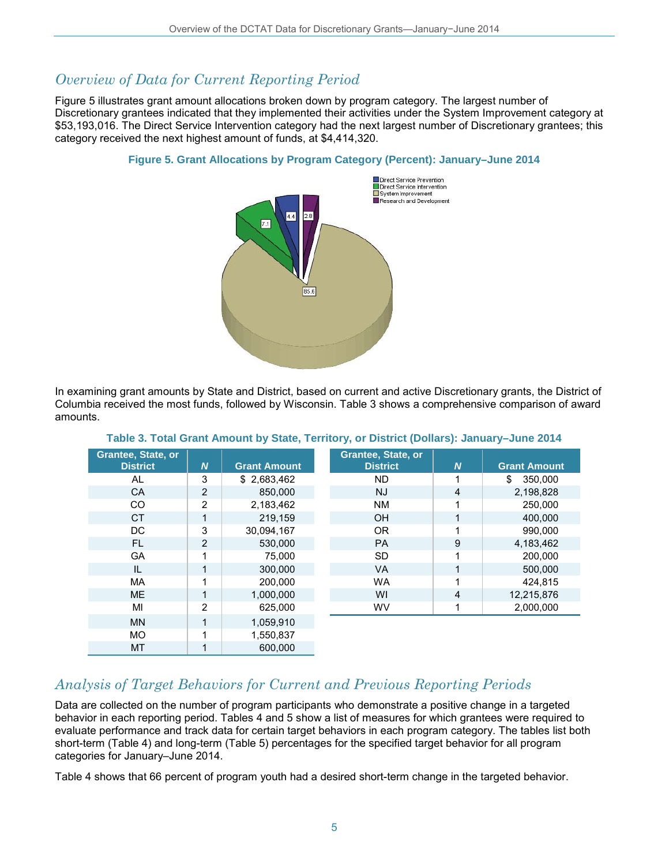### *Overview of Data for Current Reporting Period*

Figure 5 illustrates grant amount allocations broken down by program category. The largest number of Discretionary grantees indicated that they implemented their activities under the System Improvement category at \$53,193,016. The Direct Service Intervention category had the next largest number of Discretionary grantees; this category received the next highest amount of funds, at \$4,414,320.



#### **Figure 5. Grant Allocations by Program Category (Percent): January–June 2014**

In examining grant amounts by State and District, based on current and active Discretionary grants, the District of Columbia received the most funds, followed by Wisconsin. Table 3 shows a comprehensive comparison of award amounts.

| <b>Grantee, State, or</b> |                  |                     | <b>Grantee, State, or</b> |                  |                     |
|---------------------------|------------------|---------------------|---------------------------|------------------|---------------------|
| <b>District</b>           | $\boldsymbol{N}$ | <b>Grant Amount</b> | <b>District</b>           | $\boldsymbol{N}$ | <b>Grant Amount</b> |
| AL                        | 3                | \$2,683,462         | <b>ND</b>                 |                  | 350,000<br>\$       |
| <b>CA</b>                 | 2                | 850,000             | <b>NJ</b>                 | $\overline{4}$   | 2,198,828           |
| <b>CO</b>                 | $\overline{2}$   | 2,183,462           | <b>NM</b>                 |                  | 250,000             |
| <b>CT</b>                 | 1                | 219.159             | OH                        |                  | 400.000             |
| DC                        | 3                | 30,094,167          | <b>OR</b>                 | 1                | 990.000             |
| <b>FL</b>                 | 2                | 530.000             | <b>PA</b>                 | 9                | 4.183.462           |
| GA                        | 1                | 75,000              | <b>SD</b>                 |                  | 200,000             |
| IL                        | 1                | 300,000             | <b>VA</b>                 | 1                | 500.000             |
| <b>MA</b>                 | 1                | 200,000             | <b>WA</b>                 |                  | 424.815             |
| <b>ME</b>                 | 1                | 1,000,000           | WI                        | $\overline{4}$   | 12,215,876          |
| MI                        | 2                | 625,000             | <b>WV</b>                 |                  | 2,000,000           |
| <b>MN</b>                 | 1                | 1,059,910           |                           |                  |                     |
| <b>MO</b>                 | 1                | 1,550,837           |                           |                  |                     |
| <b>MT</b>                 | 1                | 600.000             |                           |                  |                     |

#### **Table 3. Total Grant Amount by State, Territory, or District (Dollars): January–June 2014**

### *Analysis of Target Behaviors for Current and Previous Reporting Periods*

Data are collected on the number of program participants who demonstrate a positive change in a targeted behavior in each reporting period. Tables 4 and 5 show a list of measures for which grantees were required to evaluate performance and track data for certain target behaviors in each program category. The tables list both short-term (Table 4) and long-term (Table 5) percentages for the specified target behavior for all program categories for January–June 2014.

Table 4 shows that 66 percent of program youth had a desired short-term change in the targeted behavior.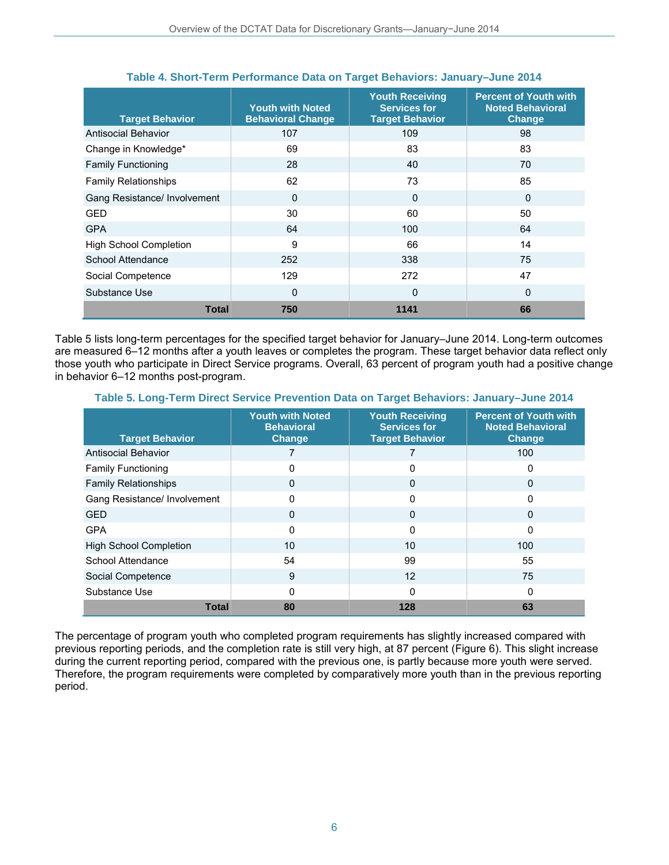| <b>Target Behavior</b>        | <b>Youth with Noted</b><br><b>Behavioral Change</b> | <b>Youth Receiving</b><br><b>Services for</b><br><b>Target Behavior</b> | <b>Percent of Youth with</b><br><b>Noted Behavioral</b><br><b>Change</b> |
|-------------------------------|-----------------------------------------------------|-------------------------------------------------------------------------|--------------------------------------------------------------------------|
| Antisocial Behavior           | 107                                                 | 109                                                                     | 98                                                                       |
| Change in Knowledge*          | 69                                                  | 83                                                                      | 83                                                                       |
| <b>Family Functioning</b>     | 28                                                  | 40                                                                      | 70                                                                       |
| <b>Family Relationships</b>   | 62                                                  | 73                                                                      | 85                                                                       |
| Gang Resistance/ Involvement  | $\Omega$                                            | $\Omega$                                                                | $\Omega$                                                                 |
| GED                           | 30                                                  | 60                                                                      | 50                                                                       |
| <b>GPA</b>                    | 64                                                  | 100                                                                     | 64                                                                       |
| <b>High School Completion</b> | 9                                                   | 66                                                                      | 14                                                                       |
| School Attendance             | 252                                                 | 338                                                                     | 75                                                                       |
| Social Competence             | 129                                                 | 272                                                                     | 47                                                                       |
| Substance Use                 | $\mathbf{0}$                                        | $\mathbf{0}$                                                            | 0                                                                        |
| Total                         | 750                                                 | 1141                                                                    | 66                                                                       |

#### **Table 4. Short-Term Performance Data on Target Behaviors: January–June 2014**

Table 5 lists long-term percentages for the specified target behavior for January–June 2014. Long-term outcomes are measured 6–12 months after a youth leaves or completes the program. These target behavior data reflect only those youth who participate in Direct Service programs. Overall, 63 percent of program youth had a positive change in behavior 6–12 months post-program.

**Table 5. Long-Term Direct Service Prevention Data on Target Behaviors: January–June 2014** 

| <b>Target Behavior</b>        | <b>Youth with Noted</b><br><b>Behavioral</b><br><b>Change</b> | <b>Youth Receiving</b><br><b>Services for</b><br><b>Target Behavior</b> | Percent of Youth with<br><b>Noted Behavioral</b><br><b>Change</b> |
|-------------------------------|---------------------------------------------------------------|-------------------------------------------------------------------------|-------------------------------------------------------------------|
| Antisocial Behavior           |                                                               |                                                                         | 100                                                               |
| <b>Family Functioning</b>     | 0                                                             | 0                                                                       | 0                                                                 |
| <b>Family Relationships</b>   | 0                                                             | 0                                                                       | $\mathbf{0}$                                                      |
| Gang Resistance/ Involvement  | 0                                                             | 0                                                                       | $\Omega$                                                          |
| <b>GED</b>                    | 0                                                             | $\Omega$                                                                | $\Omega$                                                          |
| <b>GPA</b>                    | 0                                                             | 0                                                                       | $\Omega$                                                          |
| <b>High School Completion</b> | 10                                                            | 10                                                                      | 100                                                               |
| School Attendance             | 54                                                            | 99                                                                      | 55                                                                |
| Social Competence             | 9                                                             | 12                                                                      | 75                                                                |
| Substance Use                 | 0                                                             | 0                                                                       | $\Omega$                                                          |
| <b>Total</b>                  | 80                                                            | 128                                                                     | 63                                                                |

The percentage of program youth who completed program requirements has slightly increased compared with previous reporting periods, and the completion rate is still very high, at 87 percent (Figure 6). This slight increase during the current reporting period, compared with the previous one, is partly because more youth were served. Therefore, the program requirements were completed by comparatively more youth than in the previous reporting period.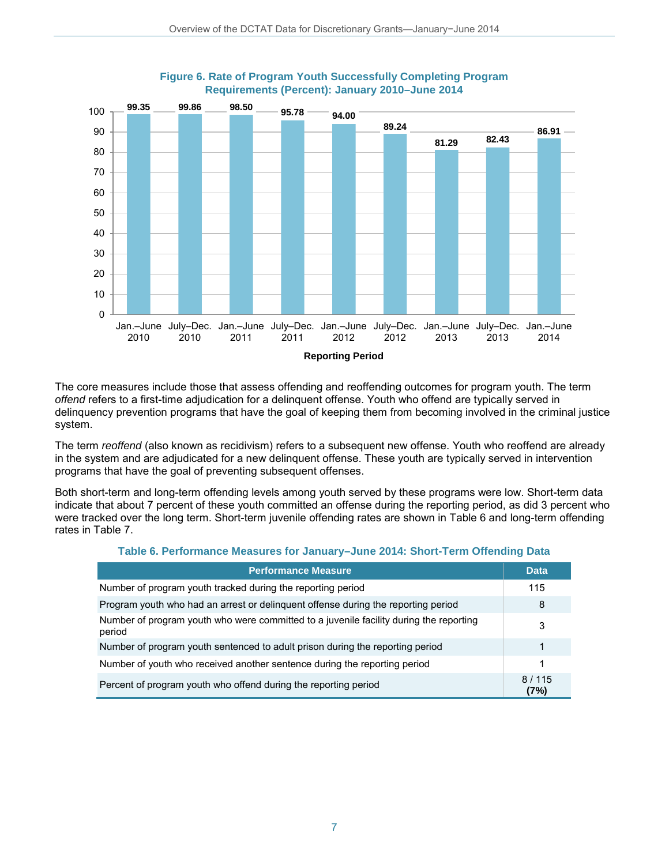

#### **Figure 6. Rate of Program Youth Successfully Completing Program Requirements (Percent): January 2010–June 2014**

**Reporting Period**

The core measures include those that assess offending and reoffending outcomes for program youth. The term *offend* refers to a first-time adjudication for a delinquent offense. Youth who offend are typically served in delinquency prevention programs that have the goal of keeping them from becoming involved in the criminal justice system.

The term *reoffend* (also known as recidivism) refers to a subsequent new offense. Youth who reoffend are already in the system and are adjudicated for a new delinquent offense. These youth are typically served in intervention programs that have the goal of preventing subsequent offenses.

Both short-term and long-term offending levels among youth served by these programs were low. Short-term data indicate that about 7 percent of these youth committed an offense during the reporting period, as did 3 percent who were tracked over the long term. Short-term juvenile offending rates are shown in Table 6 and long-term offending rates in Table 7.

#### **Table 6. Performance Measures for January–June 2014: Short-Term Offending Data**

| <b>Performance Measure</b>                                                                       | <b>Data</b>   |
|--------------------------------------------------------------------------------------------------|---------------|
| Number of program youth tracked during the reporting period                                      | 115           |
| Program youth who had an arrest or delinguent offense during the reporting period                | 8             |
| Number of program youth who were committed to a juvenile facility during the reporting<br>period | 3             |
| Number of program youth sentenced to adult prison during the reporting period                    | 1             |
| Number of youth who received another sentence during the reporting period                        | 1             |
| Percent of program youth who offend during the reporting period                                  | 8/115<br>(7%) |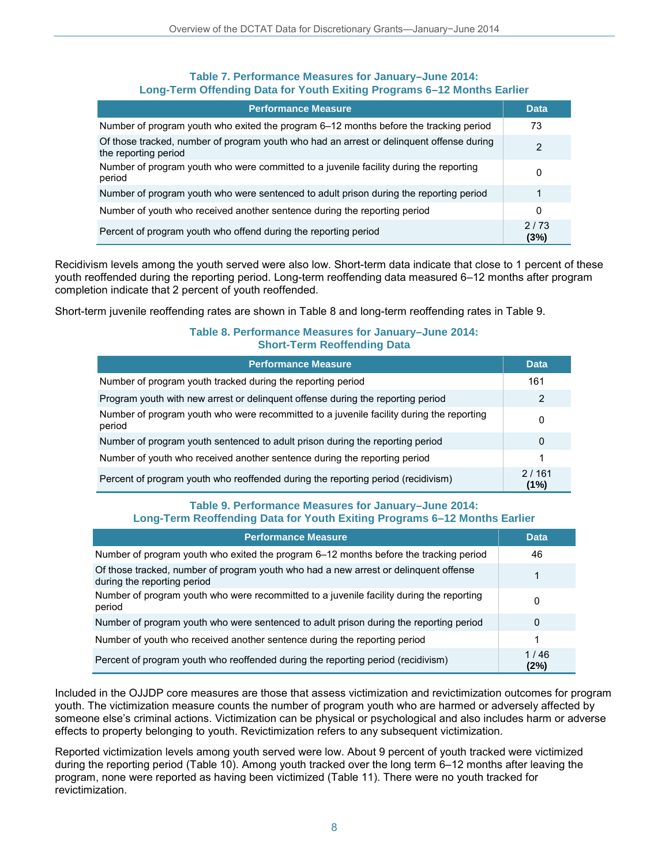#### **Table 7. Performance Measures for January–June 2014: Long-Term Offending Data for Youth Exiting Programs 6–12 Months Earlier**

| <b>Performance Measure</b>                                                                                       | Data         |
|------------------------------------------------------------------------------------------------------------------|--------------|
| Number of program youth who exited the program 6–12 months before the tracking period                            | 73           |
| Of those tracked, number of program youth who had an arrest or delinguent offense during<br>the reporting period | 2            |
| Number of program youth who were committed to a juvenile facility during the reporting<br>period                 |              |
| Number of program youth who were sentenced to adult prison during the reporting period                           | 1            |
| Number of youth who received another sentence during the reporting period                                        | 0            |
| Percent of program youth who offend during the reporting period                                                  | 2/73<br>(3%) |

Recidivism levels among the youth served were also low. Short-term data indicate that close to 1 percent of these youth reoffended during the reporting period. Long-term reoffending data measured 6–12 months after program completion indicate that 2 percent of youth reoffended.

Short-term juvenile reoffending rates are shown in Table 8 and long-term reoffending rates in Table 9.

#### **Table 8. Performance Measures for January–June 2014: Short-Term Reoffending Data**

| <b>Performance Measure</b>                                                                         | <b>Data</b>   |
|----------------------------------------------------------------------------------------------------|---------------|
| Number of program youth tracked during the reporting period                                        | 161           |
| Program youth with new arrest or delinquent offense during the reporting period                    | 2             |
| Number of program youth who were recommitted to a juvenile facility during the reporting<br>period |               |
| Number of program youth sentenced to adult prison during the reporting period                      |               |
| Number of youth who received another sentence during the reporting period                          | 1             |
| Percent of program youth who reoffended during the reporting period (recidivism)                   | 2/161<br>(1%) |

#### **Table 9. Performance Measures for January–June 2014: Long-Term Reoffending Data for Youth Exiting Programs 6–12 Months Earlier**

| <b>Performance Measure</b>                                                                                          | <b>Data</b>  |
|---------------------------------------------------------------------------------------------------------------------|--------------|
| Number of program youth who exited the program 6-12 months before the tracking period                               | 46           |
| Of those tracked, number of program youth who had a new arrest or delinquent offense<br>during the reporting period | 1            |
| Number of program youth who were recommitted to a juvenile facility during the reporting<br>period                  | 0            |
| Number of program youth who were sentenced to adult prison during the reporting period                              | 0            |
| Number of youth who received another sentence during the reporting period                                           | 1            |
| Percent of program youth who reoffended during the reporting period (recidivism)                                    | 1/46<br>(2%) |

Included in the OJJDP core measures are those that assess victimization and revictimization outcomes for program youth. The victimization measure counts the number of program youth who are harmed or adversely affected by someone else's criminal actions. Victimization can be physical or psychological and also includes harm or adverse effects to property belonging to youth. Revictimization refers to any subsequent victimization.

Reported victimization levels among youth served were low. About 9 percent of youth tracked were victimized during the reporting period (Table 10). Among youth tracked over the long term 6–12 months after leaving the program, none were reported as having been victimized (Table 11). There were no youth tracked for revictimization.